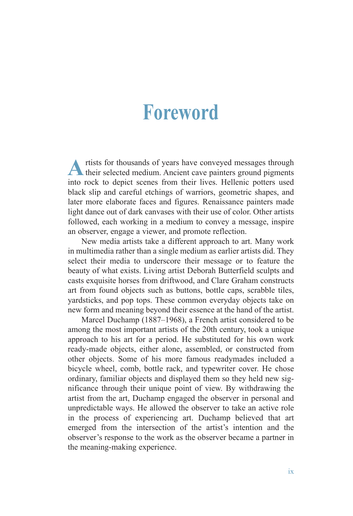## **Foreword**

A rtists for thousands of years have conveyed messages through their selected medium. Ancient cave painters ground pigments into rock to depict scenes from their lives. Hellenic potters used black slip and careful etchings of warriors, geometric shapes, and later more elaborate faces and figures. Renaissance painters made light dance out of dark canvases with their use of color. Other artists followed, each working in a medium to convey a message, inspire an observer, engage a viewer, and promote reflection.

New media artists take a different approach to art. Many work in multimedia rather than a single medium as earlier artists did. They select their media to underscore their message or to feature the beauty of what exists. Living artist Deborah Butterfield sculpts and casts exquisite horses from driftwood, and Clare Graham constructs art from found objects such as buttons, bottle caps, scrabble tiles, yardsticks, and pop tops. These common everyday objects take on new form and meaning beyond their essence at the hand of the artist.

Marcel Duchamp (1887–1968), a French artist considered to be among the most important artists of the 20th century, took a unique approach to his art for a period. He substituted for his own work ready-made objects, either alone, assembled, or constructed from other objects. Some of his more famous readymades included a bicycle wheel, comb, bottle rack, and typewriter cover. He chose ordinary, familiar objects and displayed them so they held new significance through their unique point of view. By withdrawing the artist from the art, Duchamp engaged the observer in personal and unpredictable ways. He allowed the observer to take an active role in the process of experiencing art. Duchamp believed that art emerged from the intersection of the artist's intention and the observer's response to the work as the observer became a partner in the meaning-making experience.